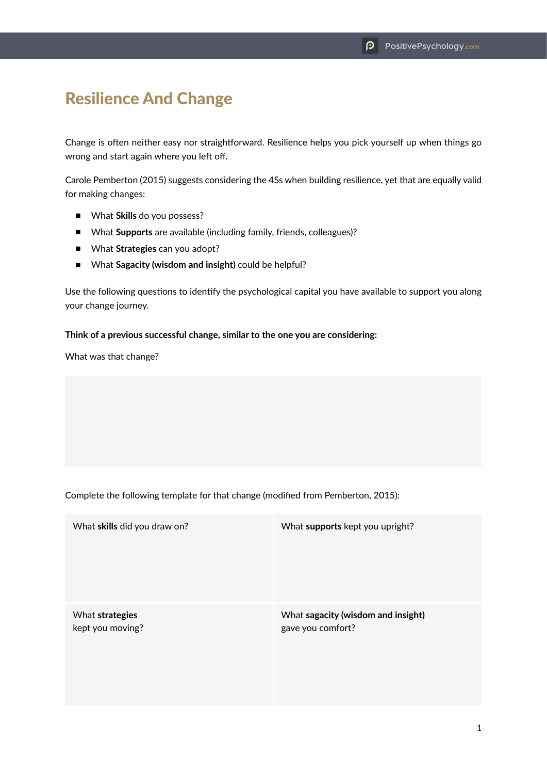## Resilience And Change

Change is often neither easy nor straightforward. Resilience helps you pick yourself up when things go wrong and start again where you left off.

Carole Pemberton (2015) suggests considering the 4Ss when building resilience, yet that are equally valid for making changes:

- What **Skills** do you possess?
- What **Supports** are available (including family, friends, colleagues)?
- What **Strategies** can you adopt?
- What Sagacity (wisdom and insight) could be helpful?

Use the following questions to identify the psychological capital you have available to support you along your change journey.

## **Think of a previous successful change, similar to the one you are considering:**

What was that change?

Complete the following template for that change (modified from Pemberton, 2015):

| What skills did you draw on? | What supports kept you upright?    |
|------------------------------|------------------------------------|
| What strategies              | What sagacity (wisdom and insight) |
| kept you moving?             | gave you comfort?                  |